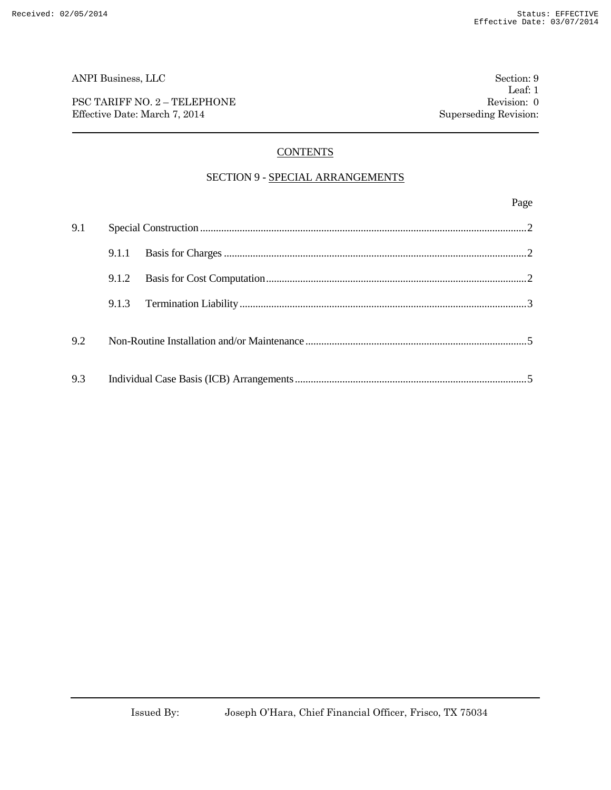PSC TARIFF NO. 2 – TELEPHONE Revision: 0 Effective Date: March 7, 2014 Superseding Revision:

Page

# **CONTENTS**

#### SECTION 9 - SPECIAL ARRANGEMENTS

# 9.1 Special Construction ............................................................................................................................2 9.1.1 Basis for Charges...................................................................................................................2 9.1.2 Basis for Cost Computation...................................................................................................2 9.1.3 Termination Liability.............................................................................................................3 9.2 Non-Routine Installation and/or Maintenance ....................................................................................5 9.3 Individual Case Basis (ICB) Arrangements........................................................................................5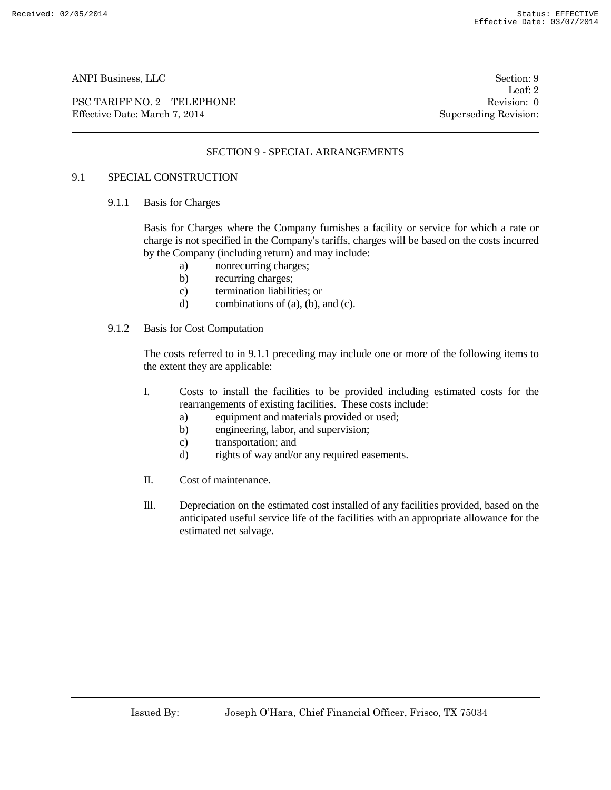PSC TARIFF NO. 2 – TELEPHONE Revision: 0 Effective Date: March 7, 2014 Superseding Revision:

Leaf: 2

# SECTION 9 - SPECIAL ARRANGEMENTS

### 9.1 SPECIAL CONSTRUCTION

9.1.1 Basis for Charges

Basis for Charges where the Company furnishes a facility or service for which a rate or charge is not specified in the Company's tariffs, charges will be based on the costs incurred by the Company (including return) and may include:

- a) nonrecurring charges;
- b) recurring charges;
- c) termination liabilities; or
- d) combinations of  $(a)$ ,  $(b)$ , and  $(c)$ .

#### 9.1.2 Basis for Cost Computation

The costs referred to in 9.1.1 preceding may include one or more of the following items to the extent they are applicable:

- I. Costs to install the facilities to be provided including estimated costs for the rearrangements of existing facilities. These costs include:
	- a) equipment and materials provided or used;
	- b) engineering, labor, and supervision;
	- c) transportation; and
	- d) rights of way and/or any required easements.
- II. Cost of maintenance.
- Ill. Depreciation on the estimated cost installed of any facilities provided, based on the anticipated useful service life of the facilities with an appropriate allowance for the estimated net salvage.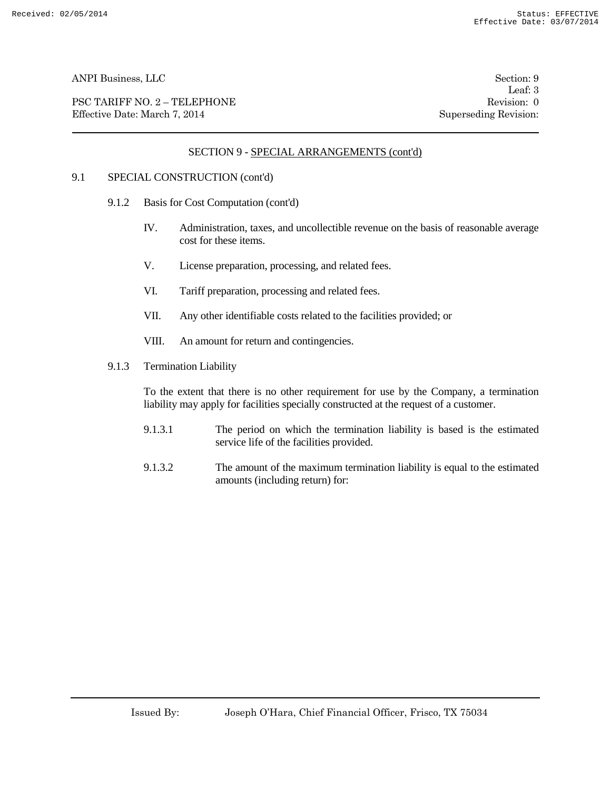PSC TARIFF NO. 2 – TELEPHONE Revision: 0 Effective Date: March 7, 2014 Superseding Revision:

Leaf: 3

# SECTION 9 - SPECIAL ARRANGEMENTS (cont'd)

#### 9.1 SPECIAL CONSTRUCTION (cont'd)

- 9.1.2 Basis for Cost Computation (cont'd)
	- IV. Administration, taxes, and uncollectible revenue on the basis of reasonable average cost for these items.
	- V. License preparation, processing, and related fees.
	- VI. Tariff preparation, processing and related fees.
	- VII. Any other identifiable costs related to the facilities provided; or
	- VIII. An amount for return and contingencies.
- 9.1.3 Termination Liability

To the extent that there is no other requirement for use by the Company, a termination liability may apply for facilities specially constructed at the request of a customer.

- 9.1.3.1 The period on which the termination liability is based is the estimated service life of the facilities provided.
- 9.1.3.2 The amount of the maximum termination liability is equal to the estimated amounts (including return) for: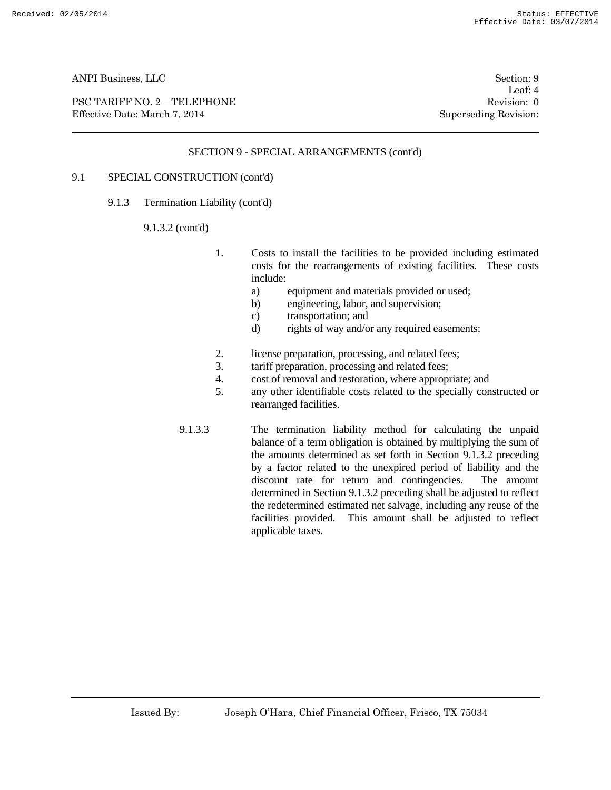PSC TARIFF NO. 2 – TELEPHONE Revision: 0<br>
Effective Date: March 7, 2014 Superseding Revision: 0 Effective Date: March 7, 2014

Leaf: 4

# SECTION 9 - SPECIAL ARRANGEMENTS (cont'd)

# 9.1 SPECIAL CONSTRUCTION (cont'd)

9.1.3 Termination Liability (cont'd)

#### 9.1.3.2 (cont'd)

- 1. Costs to install the facilities to be provided including estimated costs for the rearrangements of existing facilities. These costs include:
	- a) equipment and materials provided or used;
	- b) engineering, labor, and supervision;
	- c) transportation; and
	- d) rights of way and/or any required easements;
- 2. license preparation, processing, and related fees;
- 3. tariff preparation, processing and related fees;
- 4. cost of removal and restoration, where appropriate; and
- 5. any other identifiable costs related to the specially constructed or rearranged facilities.
- 9.1.3.3 The termination liability method for calculating the unpaid balance of a term obligation is obtained by multiplying the sum of the amounts determined as set forth in Section 9.1.3.2 preceding by a factor related to the unexpired period of liability and the discount rate for return and contingencies. The amount determined in Section 9.1.3.2 preceding shall be adjusted to reflect the redetermined estimated net salvage, including any reuse of the facilities provided. This amount shall be adjusted to reflect applicable taxes.